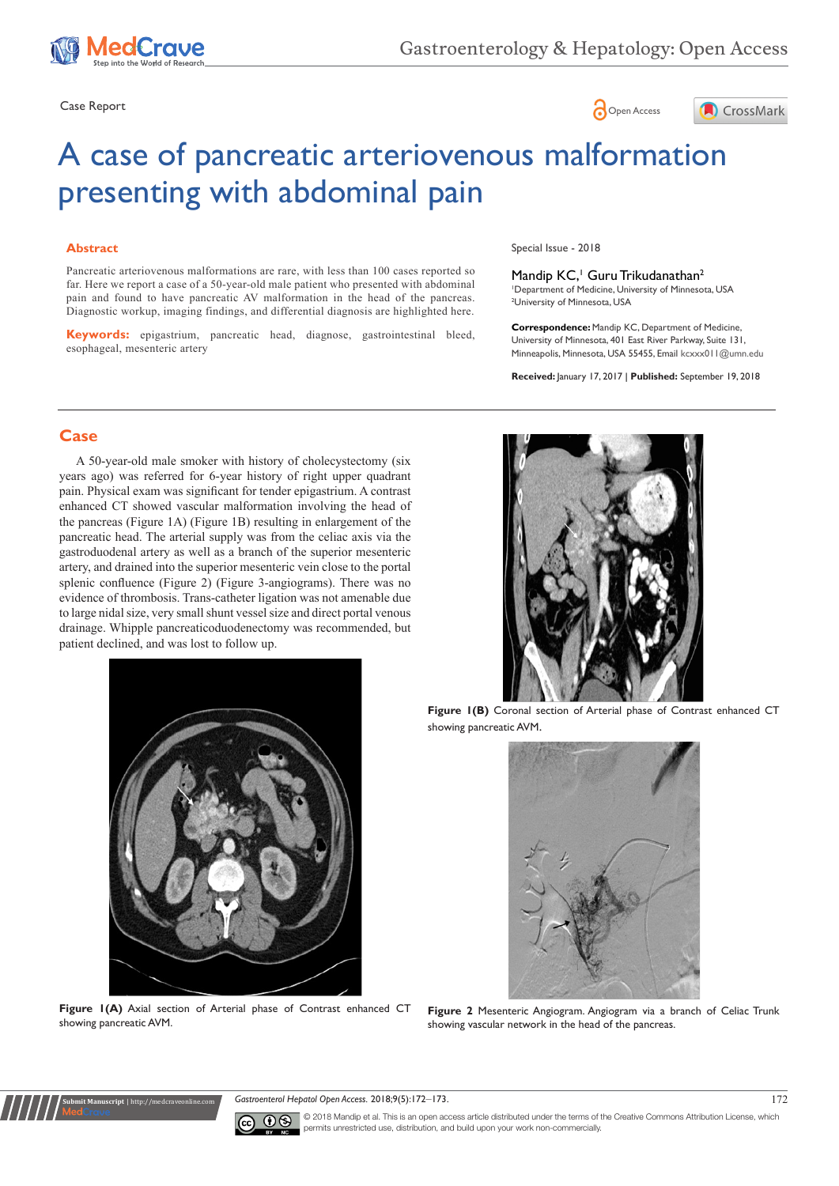





# A case of pancreatic arteriovenous malformation presenting with abdominal pain

#### **Abstract**

Pancreatic arteriovenous malformations are rare, with less than 100 cases reported so far. Here we report a case of a 50-year-old male patient who presented with abdominal pain and found to have pancreatic AV malformation in the head of the pancreas. Diagnostic workup, imaging findings, and differential diagnosis are highlighted here.

**Keywords:** epigastrium, pancreatic head, diagnose, gastrointestinal bleed, esophageal, mesenteric artery

Special Issue - 2018

Mandip KC,<sup>1</sup> Guru Trikudanathan<sup>2</sup><br>'Department of Medicine, University of Minnesota, USA

2 University of Minnesota, USA

**Correspondence:** Mandip KC, Department of Medicine, University of Minnesota, 401 East River Parkway, Suite 131, Minneapolis, Minnesota, USA 55455, Email kcxxx011@umn.edu

**Received:** January 17, 2017 | **Published:** September 19, 2018

# **Case**

A 50-year-old male smoker with history of cholecystectomy (six years ago) was referred for 6-year history of right upper quadrant pain. Physical exam was significant for tender epigastrium. A contrast enhanced CT showed vascular malformation involving the head of the pancreas (Figure 1A) (Figure 1B) resulting in enlargement of the pancreatic head. The arterial supply was from the celiac axis via the gastroduodenal artery as well as a branch of the superior mesenteric artery, and drained into the superior mesenteric vein close to the portal splenic confluence (Figure 2) (Figure 3-angiograms). There was no evidence of thrombosis. Trans-catheter ligation was not amenable due to large nidal size, very small shunt vessel size and direct portal venous drainage. Whipple pancreaticoduodenectomy was recommended, but patient declined, and was lost to follow up.



**Figure 1(B)** Coronal section of Arterial phase of Contrast enhanced CT showing pancreatic AVM.



**Figure 2** Mesenteric Angiogram. Angiogram via a branch of Celiac Trunk showing vascular network in the head of the pancreas.



Figure  $I(A)$  Axial section of Arterial phase of Contrast enhanced CT showing pancreatic AVM.

**Submit Manuscript** | http://medcraveonline.com

*Gastroenterol Hepatol Open Access.* 2018;9(5):172‒173. 172



© 2018 Mandip et al. This is an open access article distributed under the terms of the [Creative Commons Attribution License,](https://creativecommons.org/licenses/by-nc/4.0/nc/4.0/) which permits unrestricted use, distribution, and build upon your work non-commercially.